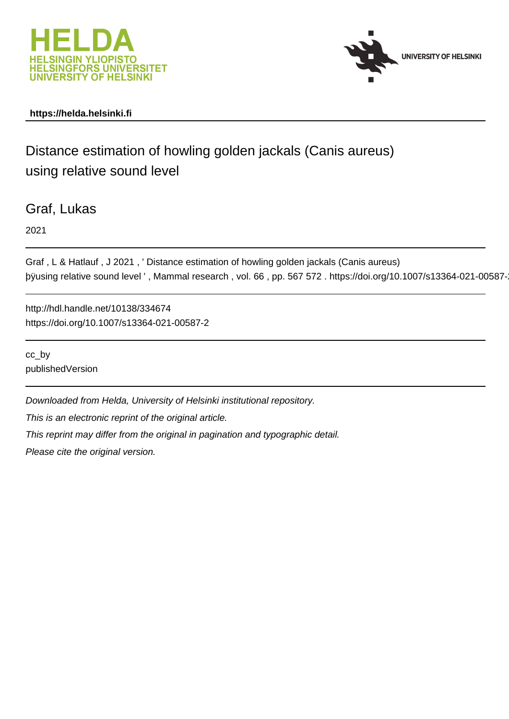



## **https://helda.helsinki.fi**

# Distance estimation of howling golden jackals (Canis aureus) using relative sound level

Graf, Lukas

2021

```
Graf , L & Hatlauf , J 2021 , ' Distance estimation of howling golden jackals (Canis aureus)
þÿusing relative sound level ', Mammal research , vol. 66 , pp. 567 572
```
http://hdl.handle.net/10138/334674 https://doi.org/10.1007/s13364-021-00587-2

cc\_by publishedVersion

Downloaded from Helda, University of Helsinki institutional repository. This is an electronic reprint of the original article. This reprint may differ from the original in pagination and typographic detail.

Please cite the original version.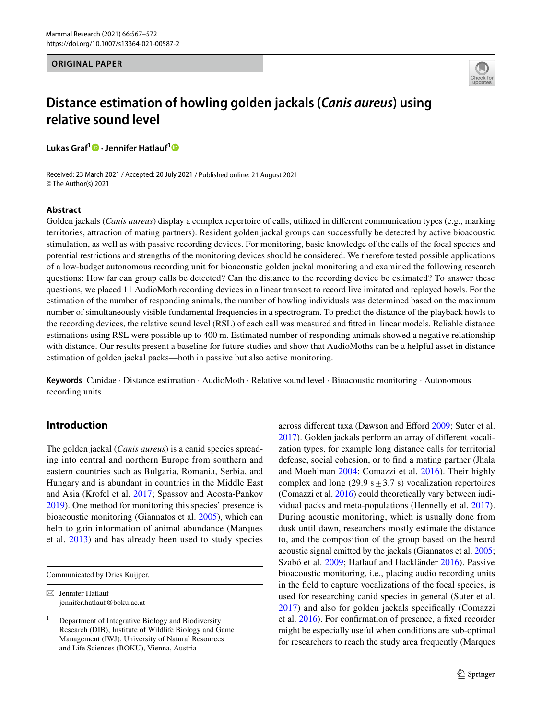**ORIGINAL PAPER**



## **Distance estimation of howling golden jackals (***Canis aureus***) using relative sound level**

**Lukas Graf1 · Jennifer Hatlauf[1](http://orcid.org/0000-0003-4665-6470)**

Received: 23 March 2021 / Accepted: 20 July 2021 / Published online: 21 August 2021 © The Author(s) 2021

#### **Abstract**

Golden jackals (*Canis aureus*) display a complex repertoire of calls, utilized in diferent communication types (e.g., marking territories, attraction of mating partners). Resident golden jackal groups can successfully be detected by active bioacoustic stimulation, as well as with passive recording devices. For monitoring, basic knowledge of the calls of the focal species and potential restrictions and strengths of the monitoring devices should be considered. We therefore tested possible applications of a low-budget autonomous recording unit for bioacoustic golden jackal monitoring and examined the following research questions: How far can group calls be detected? Can the distance to the recording device be estimated? To answer these questions, we placed 11 AudioMoth recording devices in a linear transect to record live imitated and replayed howls. For the estimation of the number of responding animals, the number of howling individuals was determined based on the maximum number of simultaneously visible fundamental frequencies in a spectrogram. To predict the distance of the playback howls to the recording devices, the relative sound level (RSL) of each call was measured and ftted in linear models. Reliable distance estimations using RSL were possible up to 400 m. Estimated number of responding animals showed a negative relationship with distance. Our results present a baseline for future studies and show that AudioMoths can be a helpful asset in distance estimation of golden jackal packs—both in passive but also active monitoring.

**Keywords** Canidae · Distance estimation · AudioMoth · Relative sound level · Bioacoustic monitoring · Autonomous recording units

## **Introduction**

The golden jackal (*Canis aureus*) is a canid species spreading into central and northern Europe from southern and eastern countries such as Bulgaria, Romania, Serbia, and Hungary and is abundant in countries in the Middle East and Asia (Krofel et al. 2017; Spassov and Acosta-Pankov 2019). One method for monitoring this species' presence is bioacoustic monitoring (Giannatos et al. 2005), which can help to gain information of animal abundance (Marques et al. 2013) and has already been used to study species

Communicated by Dries Kuijper.

 $\boxtimes$  Jennifer Hatlauf jennifer.hatlauf@boku.ac.at across different taxa (Dawson and Efford 2009; Suter et al. 2017). Golden jackals perform an array of diferent vocalization types, for example long distance calls for territorial defense, social cohesion, or to fnd a mating partner (Jhala and Moehlman 2004; Comazzi et al. 2016). Their highly complex and long (29.9 s $\pm$ 3.7 s) vocalization repertoires (Comazzi et al. 2016) could theoretically vary between individual packs and meta-populations (Hennelly et al. 2017). During acoustic monitoring, which is usually done from dusk until dawn, researchers mostly estimate the distance to, and the composition of the group based on the heard acoustic signal emitted by the jackals (Giannatos et al. 2005; Szabó et al. 2009; Hatlauf and Hackländer 2016). Passive bioacoustic monitoring, i.e., placing audio recording units in the feld to capture vocalizations of the focal species, is used for researching canid species in general (Suter et al. 2017) and also for golden jackals specifcally (Comazzi et al. 2016). For confrmation of presence, a fxed recorder might be especially useful when conditions are sub-optimal for researchers to reach the study area frequently (Marques

<sup>&</sup>lt;sup>1</sup> Department of Integrative Biology and Biodiversity Research (DIB), Institute of Wildlife Biology and Game Management (IWJ), University of Natural Resources and Life Sciences (BOKU), Vienna, Austria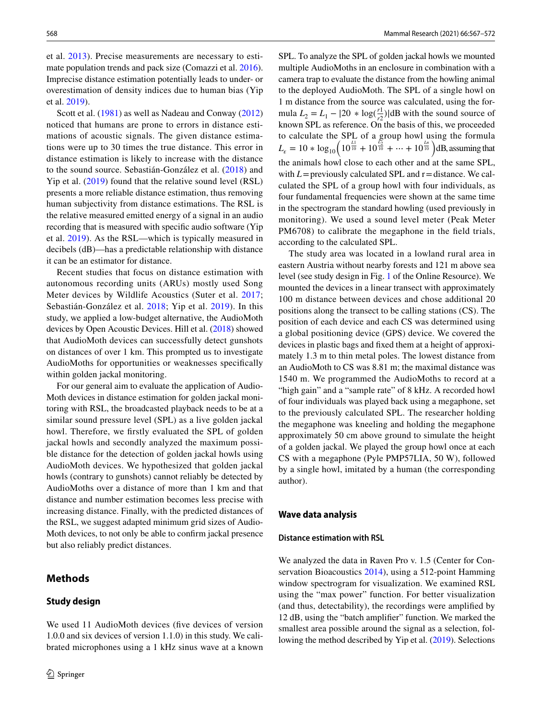et al. 2013). Precise measurements are necessary to estimate population trends and pack size (Comazzi et al. 2016). Imprecise distance estimation potentially leads to under- or overestimation of density indices due to human bias (Yip et al. 2019).

Scott et al. (1981) as well as Nadeau and Conway (2012) noticed that humans are prone to errors in distance estimations of acoustic signals. The given distance estimations were up to 30 times the true distance. This error in distance estimation is likely to increase with the distance to the sound source. Sebastián-González et al. (2018) and Yip et al. (2019) found that the relative sound level (RSL) presents a more reliable distance estimation, thus removing human subjectivity from distance estimations. The RSL is the relative measured emitted energy of a signal in an audio recording that is measured with specifc audio software (Yip et al. 2019). As the RSL—which is typically measured in decibels (dB)—has a predictable relationship with distance it can be an estimator for distance.

Recent studies that focus on distance estimation with autonomous recording units (ARUs) mostly used Song Meter devices by Wildlife Acoustics (Suter et al. 2017; Sebastián-González et al. 2018; Yip et al. 2019). In this study, we applied a low-budget alternative, the AudioMoth devices by Open Acoustic Devices. Hill et al. (2018) showed that AudioMoth devices can successfully detect gunshots on distances of over 1 km. This prompted us to investigate AudioMoths for opportunities or weaknesses specifcally within golden jackal monitoring.

For our general aim to evaluate the application of Audio-Moth devices in distance estimation for golden jackal monitoring with RSL, the broadcasted playback needs to be at a similar sound pressure level (SPL) as a live golden jackal howl. Therefore, we frstly evaluated the SPL of golden jackal howls and secondly analyzed the maximum possible distance for the detection of golden jackal howls using AudioMoth devices. We hypothesized that golden jackal howls (contrary to gunshots) cannot reliably be detected by AudioMoths over a distance of more than 1 km and that distance and number estimation becomes less precise with increasing distance. Finally, with the predicted distances of the RSL, we suggest adapted minimum grid sizes of Audio-Moth devices, to not only be able to confrm jackal presence but also reliably predict distances.

## **Methods**

#### **Study design**

We used 11 AudioMoth devices (five devices of version 1.0.0 and six devices of version 1.1.0) in this study. We calibrated microphones using a 1 kHz sinus wave at a known

SPL. To analyze the SPL of golden jackal howls we mounted multiple AudioMoths in an enclosure in combination with a camera trap to evaluate the distance from the howling animal to the deployed AudioMoth. The SPL of a single howl on 1 m distance from the source was calculated, using the formula  $L_2 = L_1 - |20 \times \log(\frac{r_1}{r_2})|$  $\frac{r_1}{r_2}$ )|dB with the sound source of known SPL as reference. On the basis of this, we proceeded to calculate the SPL of a group howl using the formula  $L_{\varepsilon} = 10 * \log_{10} \left( 10^{\frac{L1}{10}} + 10^{\frac{L_2}{10}} + \dots + 10^{\frac{L_n}{10}} \right) \text{dB, assuming that}$ the animals howl close to each other and at the same SPL, with  $L$ = previously calculated SPL and  $r$  = distance. We calculated the SPL of a group howl with four individuals, as four fundamental frequencies were shown at the same time in the spectrogram the standard howling (used previously in monitoring). We used a sound level meter (Peak Meter PM6708) to calibrate the megaphone in the field trials, according to the calculated SPL.

The study area was located in a lowland rural area in eastern Austria without nearby forests and 121 m above sea level (see study design in Fig. 1 of the Online Resource). We mounted the devices in a linear transect with approximately 100 m distance between devices and chose additional 20 positions along the transect to be calling stations (CS). The position of each device and each CS was determined using a global positioning device (GPS) device. We covered the devices in plastic bags and fxed them at a height of approximately 1.3 m to thin metal poles. The lowest distance from an AudioMoth to CS was 8.81 m; the maximal distance was 1540 m. We programmed the AudioMoths to record at a "high gain" and a "sample rate" of 8 kHz. A recorded howl of four individuals was played back using a megaphone, set to the previously calculated SPL. The researcher holding the megaphone was kneeling and holding the megaphone approximately 50 cm above ground to simulate the height of a golden jackal. We played the group howl once at each CS with a megaphone (Pyle PMP57LIA, 50 W), followed by a single howl, imitated by a human (the corresponding author).

#### **Wave data analysis**

#### **Distance estimation with RSL**

We analyzed the data in Raven Pro v. 1.5 (Center for Conservation Bioacoustics 2014), using a 512-point Hamming window spectrogram for visualization. We examined RSL using the "max power" function. For better visualization (and thus, detectability), the recordings were amplifed by 12 dB, using the "batch amplifer" function. We marked the smallest area possible around the signal as a selection, following the method described by Yip et al. (2019). Selections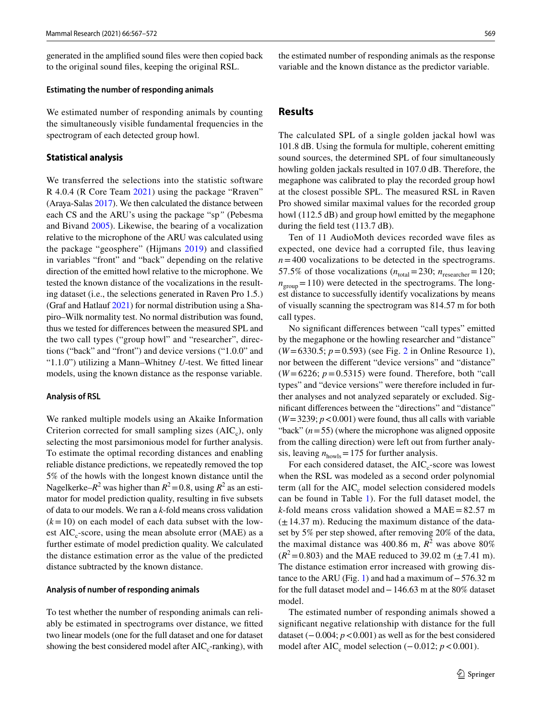generated in the amplifed sound fles were then copied back to the original sound fles, keeping the original RSL.

#### **Estimating the number of responding animals**

We estimated number of responding animals by counting the simultaneously visible fundamental frequencies in the spectrogram of each detected group howl.

#### **Statistical analysis**

We transferred the selections into the statistic software R 4.0.4 (R Core Team 2021) using the package "Rraven" (Araya-Salas 2017). We then calculated the distance between each CS and the ARU's using the package "sp*"* (Pebesma and Bivand 2005). Likewise, the bearing of a vocalization relative to the microphone of the ARU was calculated using the package "geosphere" (Hijmans 2019) and classifed in variables "front" and "back" depending on the relative direction of the emitted howl relative to the microphone. We tested the known distance of the vocalizations in the resulting dataset (i.e., the selections generated in Raven Pro 1.5.) (Graf and Hatlauf 2021) for normal distribution using a Shapiro–Wilk normality test. No normal distribution was found, thus we tested for diferences between the measured SPL and the two call types ("group howl" and "researcher", directions ("back" and "front") and device versions ("1.0.0" and "1.1.0") utilizing a Mann–Whitney *U*-test. We ftted linear models, using the known distance as the response variable.

#### **Analysis of RSL**

We ranked multiple models using an Akaike Information Criterion corrected for small sampling sizes  $(AIC<sub>c</sub>)$ , only selecting the most parsimonious model for further analysis. To estimate the optimal recording distances and enabling reliable distance predictions, we repeatedly removed the top 5% of the howls with the longest known distance until the Nagelkerke– $R^2$  was higher than  $R^2 = 0.8$ , using  $R^2$  as an estimator for model prediction quality, resulting in fve subsets of data to our models. We ran a *k*-fold means cross validation  $(k=10)$  on each model of each data subset with the lowest  $AIC_c$ -score, using the mean absolute error (MAE) as a further estimate of model prediction quality. We calculated the distance estimation error as the value of the predicted distance subtracted by the known distance.

#### **Analysis of number of responding animals**

To test whether the number of responding animals can reliably be estimated in spectrograms over distance, we ftted two linear models (one for the full dataset and one for dataset showing the best considered model after  $AIC_c$ -ranking), with the estimated number of responding animals as the response variable and the known distance as the predictor variable.

### **Results**

The calculated SPL of a single golden jackal howl was 101.8 dB. Using the formula for multiple, coherent emitting sound sources, the determined SPL of four simultaneously howling golden jackals resulted in 107.0 dB. Therefore, the megaphone was calibrated to play the recorded group howl at the closest possible SPL. The measured RSL in Raven Pro showed similar maximal values for the recorded group howl (112.5 dB) and group howl emitted by the megaphone during the feld test (113.7 dB).

Ten of 11 AudioMoth devices recorded wave fles as expected, one device had a corrupted file, thus leaving  $n = 400$  vocalizations to be detected in the spectrograms. 57.5% of those vocalizations  $(n_{total}=230; n_{researcher}=120;$  $n_{\text{group}} = 110$ ) were detected in the spectrograms. The longest distance to successfully identify vocalizations by means of visually scanning the spectrogram was 814.57 m for both call types.

No signifcant diferences between "call types" emitted by the megaphone or the howling researcher and "distance" (*W* =6330.5; *p*=0.593) (see Fig. 2 in Online Resource 1), nor between the diferent "device versions" and "distance"  $(W=6226; p=0.5315)$  were found. Therefore, both "call types" and "device versions" were therefore included in further analyses and not analyzed separately or excluded. Signifcant diferences between the "directions" and "distance"  $(W = 3239; p < 0.001)$  were found, thus all calls with variable "back"  $(n=55)$  (where the microphone was aligned opposite from the calling direction) were left out from further analysis, leaving  $n_{\text{howls}} = 175$  for further analysis.

For each considered dataset, the  $AIC<sub>c</sub>$ -score was lowest when the RSL was modeled as a second order polynomial term (all for the  $AIC_c$  model selection considered models can be found in Table 1). For the full dataset model, the *k*-fold means cross validation showed a MAE=82.57 m  $(\pm 14.37 \text{ m})$ . Reducing the maximum distance of the dataset by 5% per step showed, after removing 20% of the data, the maximal distance was  $400.86$  m,  $R^2$  was above  $80\%$  $(R^2 = 0.803)$  and the MAE reduced to 39.02 m ( $\pm$  7.41 m). The distance estimation error increased with growing distance to the ARU (Fig. 1) and had a maximum of−576.32 m for the full dataset model and−146.63 m at the 80% dataset model.

The estimated number of responding animals showed a signifcant negative relationship with distance for the full dataset (−0.004; *p*<0.001) as well as for the best considered model after AIC<sub>c</sub> model selection  $(-0.012; p < 0.001)$ .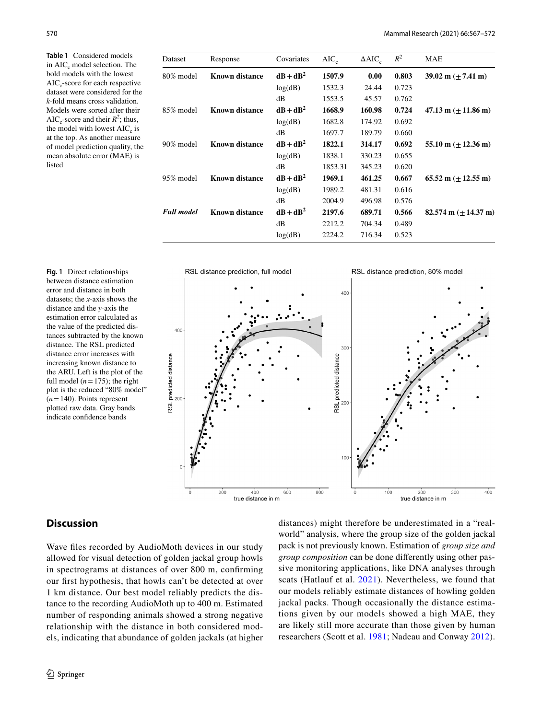**Table 1** Considered models in  $AIC_c$  model selection. The bold models with the lowest  $AIC<sub>c</sub>$ -score for each respective dataset were considered for the *k*-fold means cross validation. Models were sorted after their AIC<sub>c</sub>-score and their  $R^2$ ; thus, the model with lowest  $AIC_c$  is at the top. As another measure of model prediction quality, the mean absolute error (MAE) is listed

**Fig. 1** Direct relationships between distance estimation error and distance in both datasets; the *x*-axis shows the distance and the *y*-axis the estimation error calculated as the value of the predicted distances subtracted by the known distance. The RSL predicted distance error increases with increasing known distance to the ARU. Left is the plot of the full model  $(n=175)$ ; the right plot is the reduced "80% model"  $(n=140)$ . Points represent plotted raw data. Gray bands indicate confidence bands

| Dataset           | Response              | Covariates  | $AIC_{c}$ | $\triangle AIC_{c}$ | $R^2$ | MAE                                   |
|-------------------|-----------------------|-------------|-----------|---------------------|-------|---------------------------------------|
| 80% model         | <b>Known distance</b> | $dB + dB^2$ | 1507.9    | 0.00                | 0.803 | 39.02 m $(\pm 7.41 \text{ m})$        |
|                   |                       | log(dB)     | 1532.3    | 24.44               | 0.723 |                                       |
|                   |                       | dB          | 1553.5    | 45.57               | 0.762 |                                       |
| 85% model         | Known distance        | $dB + dB^2$ | 1668.9    | 160.98              | 0.724 | 47.13 m $(\pm 11.86 \text{ m})$       |
|                   |                       | log(dB)     | 1682.8    | 174.92              | 0.692 |                                       |
|                   |                       | dB          | 1697.7    | 189.79              | 0.660 |                                       |
| 90% model         | Known distance        | $dB + dB^2$ | 1822.1    | 314.17              | 0.692 | $55.10 \text{ m} (+ 12.36 \text{ m})$ |
|                   |                       | log(dB)     | 1838.1    | 330.23              | 0.655 |                                       |
|                   |                       | dB          | 1853.31   | 345.23              | 0.620 |                                       |
| 95% model         | <b>Known distance</b> | $dB + dB^2$ | 1969.1    | 461.25              | 0.667 | 65.52 m $(\pm 12.55 \text{ m})$       |
|                   |                       | log(dB)     | 1989.2    | 481.31              | 0.616 |                                       |
|                   |                       | dB          | 2004.9    | 496.98              | 0.576 |                                       |
| <b>Full model</b> | <b>Known distance</b> | $dB + dB^2$ | 2197.6    | 689.71              | 0.566 | $82.574 \text{ m} (+14.37 \text{ m})$ |
|                   |                       | dB          | 2212.2    | 704.34              | 0.489 |                                       |
|                   |                       | log(dB)     | 2224.2    | 716.34              | 0.523 |                                       |



## **Discussion**

Wave fles recorded by AudioMoth devices in our study allowed for visual detection of golden jackal group howls in spectrograms at distances of over 800 m, confrming our frst hypothesis, that howls can't be detected at over 1 km distance. Our best model reliably predicts the distance to the recording AudioMoth up to 400 m. Estimated number of responding animals showed a strong negative relationship with the distance in both considered models, indicating that abundance of golden jackals (at higher world" analysis, where the group size of the golden jackal pack is not previously known. Estimation of *group size and group composition* can be done diferently using other passive monitoring applications, like DNA analyses through scats (Hatlauf et al. 2021). Nevertheless, we found that our models reliably estimate distances of howling golden jackal packs. Though occasionally the distance estimations given by our models showed a high MAE, they are likely still more accurate than those given by human researchers (Scott et al. 1981; Nadeau and Conway 2012).

distances) might therefore be underestimated in a "real-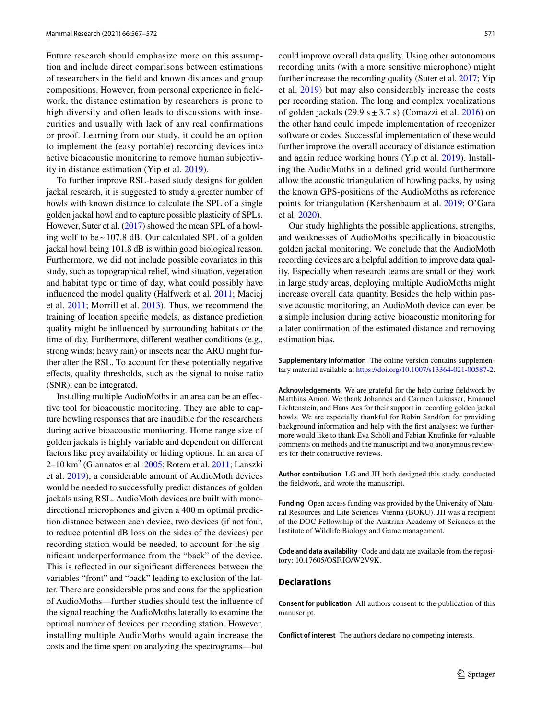Future research should emphasize more on this assumption and include direct comparisons between estimations of researchers in the feld and known distances and group compositions. However, from personal experience in feldwork, the distance estimation by researchers is prone to high diversity and often leads to discussions with insecurities and usually with lack of any real confrmations or proof. Learning from our study, it could be an option to implement the (easy portable) recording devices into active bioacoustic monitoring to remove human subjectivity in distance estimation (Yip et al. 2019).

To further improve RSL-based study designs for golden jackal research, it is suggested to study a greater number of howls with known distance to calculate the SPL of a single golden jackal howl and to capture possible plasticity of SPLs. However, Suter et al. (2017) showed the mean SPL of a howling wolf to be  $\sim$  107.8 dB. Our calculated SPL of a golden jackal howl being 101.8 dB is within good biological reason. Furthermore, we did not include possible covariates in this study, such as topographical relief, wind situation, vegetation and habitat type or time of day, what could possibly have infuenced the model quality (Halfwerk et al. 2011; Maciej et al. 2011; Morrill et al. 2013). Thus, we recommend the training of location specifc models, as distance prediction quality might be infuenced by surrounding habitats or the time of day. Furthermore, diferent weather conditions (e.g., strong winds; heavy rain) or insects near the ARU might further alter the RSL. To account for these potentially negative efects, quality thresholds, such as the signal to noise ratio (SNR), can be integrated.

Installing multiple AudioMoths in an area can be an efective tool for bioacoustic monitoring. They are able to capture howling responses that are inaudible for the researchers during active bioacoustic monitoring. Home range size of golden jackals is highly variable and dependent on diferent factors like prey availability or hiding options. In an area of 2–10 km2 (Giannatos et al. 2005; Rotem et al. 2011; Lanszki et al. 2019), a considerable amount of AudioMoth devices would be needed to successfully predict distances of golden jackals using RSL. AudioMoth devices are built with monodirectional microphones and given a 400 m optimal prediction distance between each device, two devices (if not four, to reduce potential dB loss on the sides of the devices) per recording station would be needed, to account for the signifcant underperformance from the "back" of the device. This is refected in our signifcant diferences between the variables "front" and "back" leading to exclusion of the latter. There are considerable pros and cons for the application of AudioMoths—further studies should test the infuence of the signal reaching the AudioMoths laterally to examine the optimal number of devices per recording station. However, installing multiple AudioMoths would again increase the costs and the time spent on analyzing the spectrograms—but

could improve overall data quality. Using other autonomous recording units (with a more sensitive microphone) might further increase the recording quality (Suter et al. 2017; Yip et al. 2019) but may also considerably increase the costs per recording station. The long and complex vocalizations of golden jackals (29.9 s $\pm$ 3.7 s) (Comazzi et al. 2016) on the other hand could impede implementation of recognizer software or codes. Successful implementation of these would further improve the overall accuracy of distance estimation and again reduce working hours (Yip et al. 2019). Installing the AudioMoths in a defned grid would furthermore allow the acoustic triangulation of howling packs, by using the known GPS-positions of the AudioMoths as reference points for triangulation (Kershenbaum et al. 2019; O'Gara et al. 2020).

Our study highlights the possible applications, strengths, and weaknesses of AudioMoths specifcally in bioacoustic golden jackal monitoring. We conclude that the AudioMoth recording devices are a helpful addition to improve data quality. Especially when research teams are small or they work in large study areas, deploying multiple AudioMoths might increase overall data quantity. Besides the help within passive acoustic monitoring, an AudioMoth device can even be a simple inclusion during active bioacoustic monitoring for a later confrmation of the estimated distance and removing estimation bias.

**Supplementary Information** The online version contains supplementary material available at<https://doi.org/10.1007/s13364-021-00587-2>.

**Acknowledgements** We are grateful for the help during feldwork by Matthias Amon. We thank Johannes and Carmen Lukasser, Emanuel Lichtenstein, and Hans Acs for their support in recording golden jackal howls. We are especially thankful for Robin Sandfort for providing background information and help with the frst analyses; we furthermore would like to thank Eva Schöll and Fabian Knufnke for valuable comments on methods and the manuscript and two anonymous reviewers for their constructive reviews.

**Author contribution** LG and JH both designed this study, conducted the feldwork, and wrote the manuscript.

**Funding** Open access funding was provided by the University of Natural Resources and Life Sciences Vienna (BOKU). JH was a recipient of the DOC Fellowship of the Austrian Academy of Sciences at the Institute of Wildlife Biology and Game management.

**Code and data availability** Code and data are available from the repository: 10.17605/OSF.IO/W2V9K.

#### **Declarations**

**Consent for publication** All authors consent to the publication of this manuscript.

**Conflict of interest** The authors declare no competing interests.